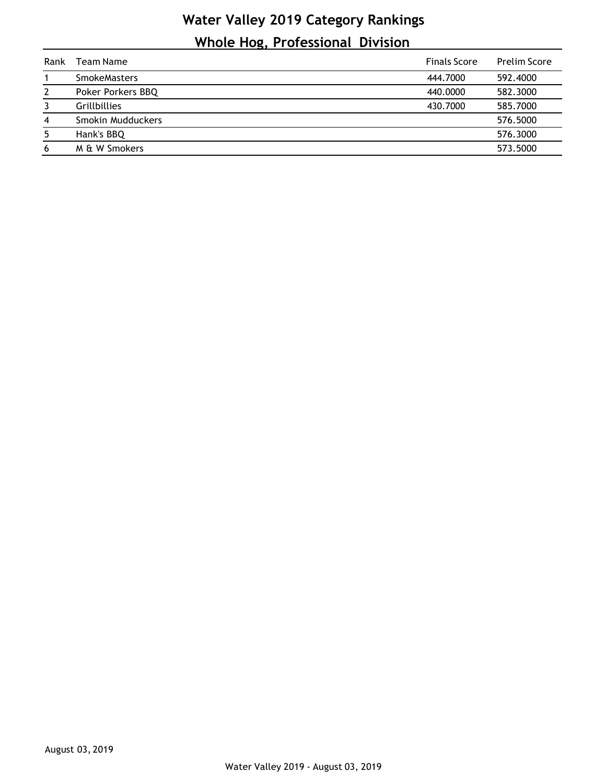## **Water Valley 2019 Category Rankings Whole Hog, Professional Division**

| Rank           | Team Name           | <b>Finals Score</b> | <b>Prelim Score</b> |
|----------------|---------------------|---------------------|---------------------|
|                | <b>SmokeMasters</b> | 444,7000            | 592.4000            |
| 2              | Poker Porkers BBQ   | 440,0000            | 582.3000            |
| 3              | <b>Grillbillies</b> | 430.7000            | 585.7000            |
| $\overline{4}$ | Smokin Mudduckers   |                     | 576.5000            |
| 5              | Hank's BBQ          |                     | 576.3000            |
| 6              | M & W Smokers       |                     | 573.5000            |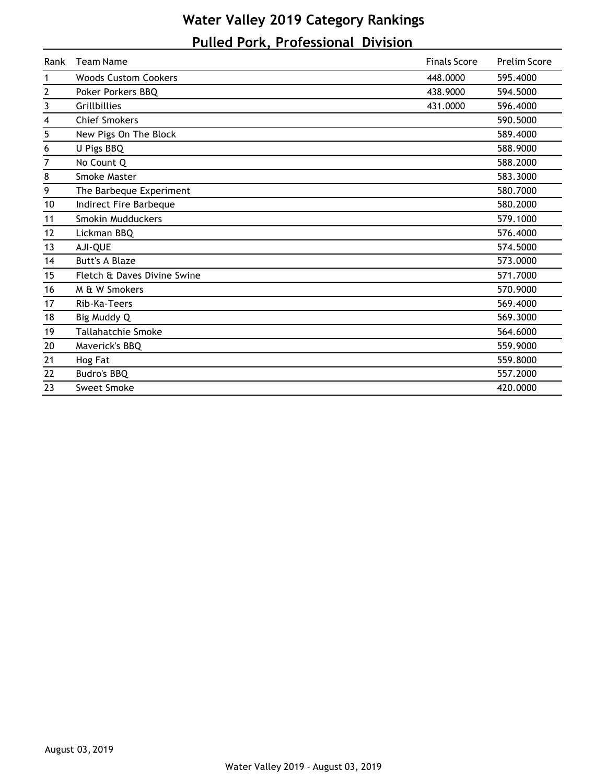## **Water Valley 2019 Category Rankings Pulled Pork, Professional Division**

| Rank                    | <b>Team Name</b>            | <b>Finals Score</b> | <b>Prelim Score</b> |
|-------------------------|-----------------------------|---------------------|---------------------|
| 1                       | <b>Woods Custom Cookers</b> | 448.0000            | 595.4000            |
| $\mathbf{2}$            | Poker Porkers BBQ           | 438.9000            | 594.5000            |
| 3                       | Grillbillies                | 431.0000            | 596.4000            |
| $\overline{\mathbf{4}}$ | <b>Chief Smokers</b>        |                     | 590.5000            |
| 5                       | New Pigs On The Block       |                     | 589.4000            |
| 6                       | U Pigs BBQ                  |                     | 588.9000            |
| 7                       | No Count Q                  |                     | 588.2000            |
| 8                       | Smoke Master                |                     | 583.3000            |
| 9                       | The Barbeque Experiment     |                     | 580.7000            |
| 10                      | Indirect Fire Barbeque      |                     | 580.2000            |
| 11                      | Smokin Mudduckers           |                     | 579.1000            |
| 12                      | Lickman BBQ                 |                     | 576.4000            |
| 13                      | AJI-QUE                     |                     | 574.5000            |
| 14                      | <b>Butt's A Blaze</b>       |                     | 573.0000            |
| 15                      | Fletch & Daves Divine Swine |                     | 571.7000            |
| 16                      | M & W Smokers               |                     | 570.9000            |
| 17                      | Rib-Ka-Teers                |                     | 569.4000            |
| 18                      | Big Muddy Q                 |                     | 569.3000            |
| 19                      | Tallahatchie Smoke          |                     | 564.6000            |
| 20                      | Maverick's BBQ              |                     | 559.9000            |
| 21                      | Hog Fat                     |                     | 559.8000            |
| 22                      | Budro's BBQ                 |                     | 557.2000            |
| 23                      | Sweet Smoke                 |                     | 420.0000            |